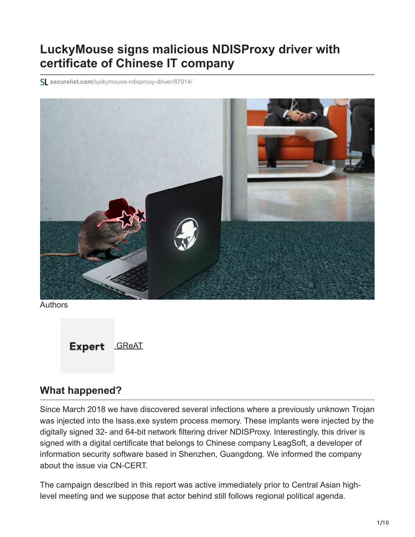# **LuckyMouse signs malicious NDISProxy driver with certificate of Chinese IT company**

**securelist.com**[/luckymouse-ndisproxy-driver/87914/](https://securelist.com/luckymouse-ndisproxy-driver/87914/)



Authors



### **What happened?**

Since March 2018 we have discovered several infections where a previously unknown Trojan was injected into the lsass.exe system process memory. These implants were injected by the digitally signed 32- and 64-bit network filtering driver NDISProxy. Interestingly, this driver is signed with a digital certificate that belongs to Chinese company LeagSoft, a developer of information security software based in Shenzhen, Guangdong. We informed the company about the issue via CN-CERT.

The campaign described in this report was active immediately prior to Central Asian highlevel meeting and we suppose that actor behind still follows regional political agenda.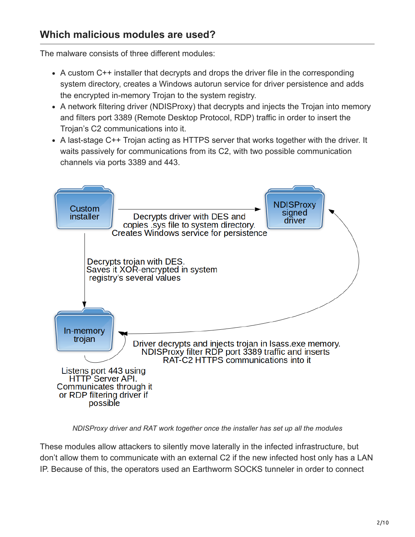### **Which malicious modules are used?**

The malware consists of three different modules:

- A custom C++ installer that decrypts and drops the driver file in the corresponding system directory, creates a Windows autorun service for driver persistence and adds the encrypted in-memory Trojan to the system registry.
- A network filtering driver (NDISProxy) that decrypts and injects the Trojan into memory and filters port 3389 (Remote Desktop Protocol, RDP) traffic in order to insert the Trojan's C2 communications into it.
- A last-stage C++ Trojan acting as HTTPS server that works together with the driver. It waits passively for communications from its C2, with two possible communication channels via ports 3389 and 443.



*NDISProxy driver and RAT work together once the installer has set up all the modules*

These modules allow attackers to silently move laterally in the infected infrastructure, but don't allow them to communicate with an external C2 if the new infected host only has a LAN IP. Because of this, the operators used an Earthworm SOCKS tunneler in order to connect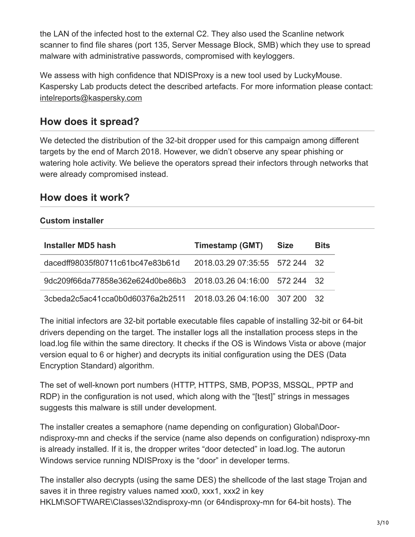the LAN of the infected host to the external C2. They also used the Scanline network scanner to find file shares (port 135, Server Message Block, SMB) which they use to spread malware with administrative passwords, compromised with keyloggers.

We assess with high confidence that NDISProxy is a new tool used by LuckyMouse. Kaspersky Lab products detect the described artefacts. For more information please contact: [intelreports@kaspersky.com](http://10.10.0.46/mailto:intelreports@kaspersky.com)

### **How does it spread?**

We detected the distribution of the 32-bit dropper used for this campaign among different targets by the end of March 2018. However, we didn't observe any spear phishing or watering hole activity. We believe the operators spread their infectors through networks that were already compromised instead.

### **How does it work?**

### **Custom installer**

| Installer MD5 hash                                              | Timestamp (GMT)                | <b>Size</b> | <b>Bits</b> |
|-----------------------------------------------------------------|--------------------------------|-------------|-------------|
| dacedff98035f80711c61bc47e83b61d                                | 2018.03.29 07:35:55 572 244 32 |             |             |
| 9dc209f66da77858e362e624d0be86b3 2018.03.26 04:16:00 572 244 32 |                                |             |             |
|                                                                 |                                |             |             |

The initial infectors are 32-bit portable executable files capable of installing 32-bit or 64-bit drivers depending on the target. The installer logs all the installation process steps in the load.log file within the same directory. It checks if the OS is Windows Vista or above (major version equal to 6 or higher) and decrypts its initial configuration using the DES (Data Encryption Standard) algorithm.

The set of well-known port numbers (HTTP, HTTPS, SMB, POP3S, MSSQL, PPTP and RDP) in the configuration is not used, which along with the "[test]" strings in messages suggests this malware is still under development.

The installer creates a semaphore (name depending on configuration) Global\Doorndisproxy-mn and checks if the service (name also depends on configuration) ndisproxy-mn is already installed. If it is, the dropper writes "door detected" in load.log. The autorun Windows service running NDISProxy is the "door" in developer terms.

The installer also decrypts (using the same DES) the shellcode of the last stage Trojan and saves it in three registry values named xxx0, xxx1, xxx2 in key HKLM\SOFTWARE\Classes\32ndisproxy-mn (or 64ndisproxy-mn for 64-bit hosts). The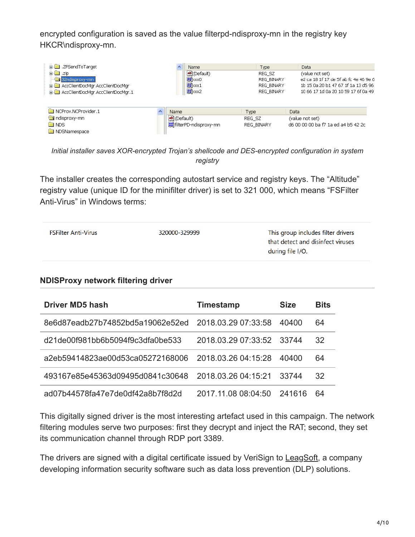encrypted configuration is saved as the value filterpd-ndisproxy-mn in the registry key HKCR\ndisproxy-mn.

| E ZFSendToTarget                                                  |                            | Name                            | Type                                | Data                    |                                       |
|-------------------------------------------------------------------|----------------------------|---------------------------------|-------------------------------------|-------------------------|---------------------------------------|
| 由 国 .zip                                                          |                            | ab] (Default)                   | REG SZ                              |                         | (value not set)                       |
| 32ndisproxy-mn                                                    |                            | <b>RE</b> XXXO                  | REG BINARY                          |                         | e2 ca 18 1f 17 de 5f ab fc 4e 46 9e 6 |
| in-ConferentDocMar.AccClientDocMar                                |                            | $\frac{99}{10}$ xx 1            | REG BINARY                          |                         | 1b 15 0a 20 b1 47 67 1f 1a 13 d5 96   |
| E-C AccClientDocMar.AccClientDocMar.1                             |                            | <b>BU</b> XXX2                  | REG BINARY                          |                         | 10 66 17 1d 0a 20 10 59 17 6f 0a 49   |
| NCProv.NCProvider.1<br>ndisproxy-mn<br><b>NDS</b><br>NDSNamespace | Name<br><b>问</b> (Default) | <b>BU</b> filterPD-ndisproxy-mn | Type<br>REG SZ<br><b>REG BINARY</b> | Data<br>(value not set) | d6 00 00 00 ba f7 1a ed a4 b5 42 2c   |

*Initial installer saves XOR-encrypted Trojan's shellcode and DES-encrypted configuration in system registry*

The installer creates the corresponding autostart service and registry keys. The "Altitude" registry value (unique ID for the minifilter driver) is set to 321 000, which means "FSFilter Anti-Virus" in Windows terms:

| <b>FSFilter Anti-Virus</b> | 320000-329999 | This group includes filter drivers<br>that detect and disinfect viruses<br>during file I/O. |
|----------------------------|---------------|---------------------------------------------------------------------------------------------|
|                            |               |                                                                                             |

### **NDISProxy network filtering driver**

| <b>Driver MD5 hash</b>                               | <b>Timestamp</b>    | <b>Size</b> | <b>Bits</b> |
|------------------------------------------------------|---------------------|-------------|-------------|
| 8e6d87eadb27b74852bd5a19062e52ed 2018.03.29 07:33:58 |                     | 40400       | 64          |
| d21de00f981bb6b5094f9c3dfa0be533                     | 2018.03.29 07:33:52 | 33744       | 32          |
| a2eb59414823ae00d53ca05272168006                     | 2018.03.26 04:15:28 | 40400       | 64          |
| 493167e85e45363d09495d0841c30648                     | 2018.03.26.04.15.21 | 33744       | 32          |
| ad07b44578fa47e7de0df42a8b7f8d2d                     | 2017 11 08 08 04 50 | 241616      | 64          |

This digitally signed driver is the most interesting artefact used in this campaign. The network filtering modules serve two purposes: first they decrypt and inject the RAT; second, they set its communication channel through RDP port 3389.

The drivers are signed with a digital certificate issued by VeriSign to [LeagSoft,](https://www.leagsoft.com/) a company developing information security software such as data loss prevention (DLP) solutions.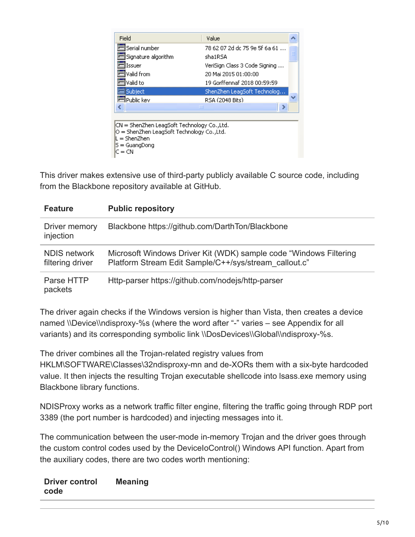| Field                                                                                                                                | Value                         |   |
|--------------------------------------------------------------------------------------------------------------------------------------|-------------------------------|---|
| Serial number                                                                                                                        | 78 62 07 2d dc 75 9e 5f 6a 61 |   |
| signature algorithm                                                                                                                  | sha1RSA                       | ≣ |
| Issuer                                                                                                                               | VeriSign Class 3 Code Signing |   |
| Valid from                                                                                                                           | 20 Mai 2015 01:00:00          |   |
| Valid to                                                                                                                             | 19 Gorffennaf 2018 00:59:59   |   |
| Subject                                                                                                                              | ShenZhen LeagSoft Technolog   |   |
| ∃Public kev                                                                                                                          | RSA (2048 Bits)               |   |
| ∢<br>ШI                                                                                                                              |                               |   |
|                                                                                                                                      |                               |   |
| CN = ShenZhen LeagSoft Technology Co.,Ltd.<br>O = ShenZhen LeagSoft Technology Co.,Ltd.<br>L = ShenZhen<br>S = GuangDong<br>$C = CN$ |                               |   |

This driver makes extensive use of third-party publicly available C source code, including from the Blackbone repository available at GitHub.

| <b>Feature</b>                          | <b>Public repository</b>                                                                                                   |
|-----------------------------------------|----------------------------------------------------------------------------------------------------------------------------|
| Driver memory<br>injection              | Blackbone https://github.com/DarthTon/Blackbone                                                                            |
| <b>NDIS network</b><br>filtering driver | Microsoft Windows Driver Kit (WDK) sample code "Windows Filtering<br>Platform Stream Edit Sample/C++/sys/stream callout.c" |
| Parse HTTP<br>packets                   | Http-parser https://github.com/nodejs/http-parser                                                                          |

The driver again checks if the Windows version is higher than Vista, then creates a device named \\Device\\ndisproxy-%s (where the word after "-" varies – see Appendix for all variants) and its corresponding symbolic link \\DosDevices\\Global\\ndisproxy-%s.

The driver combines all the Trojan-related registry values from HKLM\SOFTWARE\Classes\32ndisproxy-mn and de-XORs them with a six-byte hardcoded value. It then injects the resulting Trojan executable shellcode into lsass.exe memory using Blackbone library functions.

NDISProxy works as a network traffic filter engine, filtering the traffic going through RDP port 3389 (the port number is hardcoded) and injecting messages into it.

The communication between the user-mode in-memory Trojan and the driver goes through the custom control codes used by the DeviceIoControl() Windows API function. Apart from the auxiliary codes, there are two codes worth mentioning:

#### **Driver control code Meaning**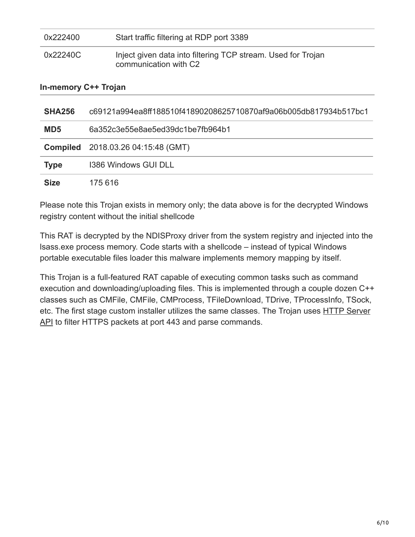| <b>SHA256</b>               | c69121a994ea8ff188510f41890208625710870af9a06b005db817934b517bc1                      |  |  |
|-----------------------------|---------------------------------------------------------------------------------------|--|--|
| <b>In-memory C++ Trojan</b> |                                                                                       |  |  |
| 0x22240C                    | Inject given data into filtering TCP stream. Used for Trojan<br>communication with C2 |  |  |
| 0x222400                    | Start traffic filtering at RDP port 3389                                              |  |  |

| MD <sub>5</sub> | 6a352c3e55e8ae5ed39dc1be7fb964b1          |
|-----------------|-------------------------------------------|
|                 | <b>Compiled</b> 2018.03.26 04:15:48 (GMT) |
| <b>Type</b>     | 1386 Windows GUI DLL                      |
| <b>Size</b>     | 175 616                                   |

Please note this Trojan exists in memory only; the data above is for the decrypted Windows registry content without the initial shellcode

This RAT is decrypted by the NDISProxy driver from the system registry and injected into the lsass.exe process memory. Code starts with a shellcode – instead of typical Windows portable executable files loader this malware implements memory mapping by itself.

This Trojan is a full-featured RAT capable of executing common tasks such as command execution and downloading/uploading files. This is implemented through a couple dozen C++ classes such as CMFile, CMFile, CMProcess, TFileDownload, TDrive, TProcessInfo, TSock, [etc. The first stage custom installer utilizes the same classes. The Trojan uses HTTP Server](https://docs.microsoft.com/en-gb/windows/desktop/Http/http-server-api-overview) API to filter HTTPS packets at port 443 and parse commands.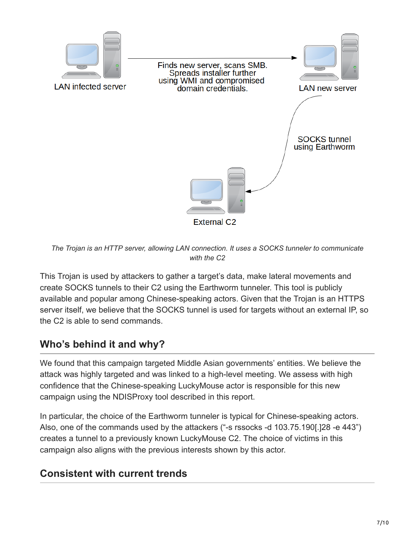

*The Trojan is an HTTP server, allowing LAN connection. It uses a SOCKS tunneler to communicate with the C2*

This Trojan is used by attackers to gather a target's data, make lateral movements and create SOCKS tunnels to their C2 using the Earthworm tunneler. This tool is publicly available and popular among Chinese-speaking actors. Given that the Trojan is an HTTPS server itself, we believe that the SOCKS tunnel is used for targets without an external IP, so the C2 is able to send commands.

## **Who's behind it and why?**

We found that this campaign targeted Middle Asian governments' entities. We believe the attack was highly targeted and was linked to a high-level meeting. We assess with high confidence that the Chinese-speaking LuckyMouse actor is responsible for this new campaign using the NDISProxy tool described in this report.

In particular, the choice of the Earthworm tunneler is typical for Chinese-speaking actors. Also, one of the commands used by the attackers ("-s rssocks -d 103.75.190[.]28 -e 443") creates a tunnel to a previously known LuckyMouse C2. The choice of victims in this campaign also aligns with the previous interests shown by this actor.

### **Consistent with current trends**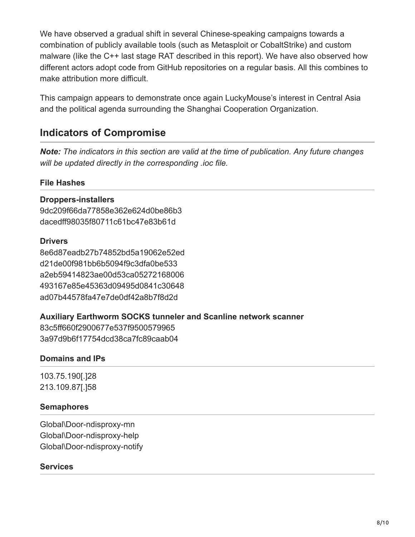We have observed a gradual shift in several Chinese-speaking campaigns towards a combination of publicly available tools (such as Metasploit or CobaltStrike) and custom malware (like the C++ last stage RAT described in this report). We have also observed how different actors adopt code from GitHub repositories on a regular basis. All this combines to make attribution more difficult.

This campaign appears to demonstrate once again LuckyMouse's interest in Central Asia and the political agenda surrounding the Shanghai Cooperation Organization.

### **Indicators of Compromise**

*Note: The indicators in this section are valid at the time of publication. Any future changes will be updated directly in the corresponding .ioc file.*

### **File Hashes**

### **Droppers-installers**

9dc209f66da77858e362e624d0be86b3 dacedff98035f80711c61bc47e83b61d

#### **Drivers**

8e6d87eadb27b74852bd5a19062e52ed d21de00f981bb6b5094f9c3dfa0be533 a2eb59414823ae00d53ca05272168006 493167e85e45363d09495d0841c30648 ad07b44578fa47e7de0df42a8b7f8d2d

### **Auxiliary Earthworm SOCKS tunneler and Scanline network scanner**

83c5ff660f2900677e537f9500579965 3a97d9b6f17754dcd38ca7fc89caab04

### **Domains and IPs**

103.75.190[.]28 213.109.87[.]58

### **Semaphores**

Global\Door-ndisproxy-mn Global\Door-ndisproxy-help Global\Door-ndisproxy-notify

### **Services**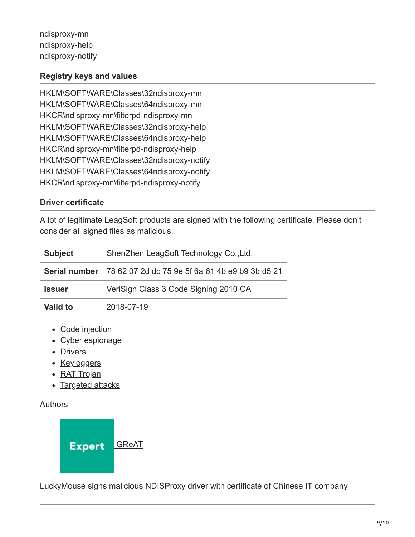ndisproxy-mn ndisproxy-help ndisproxy-notify

### **Registry keys and values**

HKLM\SOFTWARE\Classes\32ndisproxy-mn HKLM\SOFTWARE\Classes\64ndisproxy-mn HKCR\ndisproxy-mn\filterpd-ndisproxy-mn HKLM\SOFTWARE\Classes\32ndisproxy-help HKLM\SOFTWARE\Classes\64ndisproxy-help HKCR\ndisproxy-mn\filterpd-ndisproxy-help HKLM\SOFTWARE\Classes\32ndisproxy-notify HKLM\SOFTWARE\Classes\64ndisproxy-notify HKCR\ndisproxy-mn\filterpd-ndisproxy-notify

### **Driver certificate**

A lot of legitimate LeagSoft products are signed with the following certificate. Please don't consider all signed files as malicious.

| <b>Subject</b>  | ShenZhen LeagSoft Technology Co., Ltd.                        |  |
|-----------------|---------------------------------------------------------------|--|
|                 | Serial number 78 62 07 2d dc 75 9e 5f 6a 61 4b e9 b9 3b d5 21 |  |
| <b>Issuer</b>   | VeriSign Class 3 Code Signing 2010 CA                         |  |
| <b>Valid to</b> | 2018-07-19                                                    |  |

- [Code injection](https://securelist.com/tag/code-injection/)
- [Cyber espionage](https://securelist.com/tag/cyber-espionage/)
- [Drivers](https://securelist.com/tag/drivers/)
- [Keyloggers](https://securelist.com/tag/keyloggers/)
- [RAT Trojan](https://securelist.com/tag/rat-trojan/)
- [Targeted attacks](https://securelist.com/tag/targeted-attacks/)

Authors



LuckyMouse signs malicious NDISProxy driver with certificate of Chinese IT company